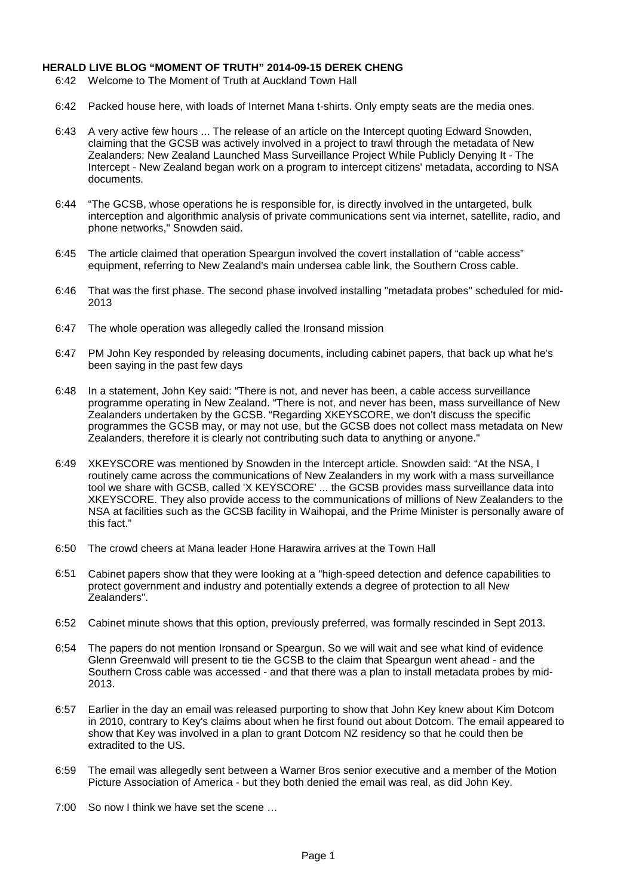## **HERALD LIVE BLOG "MOMENT OF TRUTH" 2014-09-15 DEREK CHENG**

- 6:42 Welcome to The Moment of Truth at Auckland Town Hall
- 6:42 Packed house here, with loads of Internet Mana t-shirts. Only empty seats are the media ones.
- 6:43 A very active few hours ... The release of an article on the Intercept quoting Edward Snowden, claiming that the GCSB was actively involved in a project to trawl through the metadata of New Zealanders: New Zealand Launched Mass Surveillance Project While Publicly Denying It - The Intercept - New Zealand began work on a program to intercept citizens' metadata, according to NSA documents.
- 6:44 "The GCSB, whose operations he is responsible for, is directly involved in the untargeted, bulk interception and algorithmic analysis of private communications sent via internet, satellite, radio, and phone networks," Snowden said.
- 6:45 The article claimed that operation Speargun involved the covert installation of "cable access" equipment, referring to New Zealand's main undersea cable link, the Southern Cross cable.
- 6:46 That was the first phase. The second phase involved installing "metadata probes" scheduled for mid-2013
- 6:47 The whole operation was allegedly called the Ironsand mission
- 6:47 PM John Key responded by releasing documents, including cabinet papers, that back up what he's been saying in the past few days
- 6:48 In a statement, John Key said: "There is not, and never has been, a cable access surveillance programme operating in New Zealand. "There is not, and never has been, mass surveillance of New Zealanders undertaken by the GCSB. "Regarding XKEYSCORE, we don't discuss the specific programmes the GCSB may, or may not use, but the GCSB does not collect mass metadata on New Zealanders, therefore it is clearly not contributing such data to anything or anyone."
- 6:49 XKEYSCORE was mentioned by Snowden in the Intercept article. Snowden said: "At the NSA, I routinely came across the communications of New Zealanders in my work with a mass surveillance tool we share with GCSB, called 'X KEYSCORE' ... the GCSB provides mass surveillance data into XKEYSCORE. They also provide access to the communications of millions of New Zealanders to the NSA at facilities such as the GCSB facility in Waihopai, and the Prime Minister is personally aware of this fact."
- 6:50 The crowd cheers at Mana leader Hone Harawira arrives at the Town Hall
- 6:51 Cabinet papers show that they were looking at a "high-speed detection and defence capabilities to protect government and industry and potentially extends a degree of protection to all New Zealanders".
- 6:52 Cabinet minute shows that this option, previously preferred, was formally rescinded in Sept 2013.
- 6:54 The papers do not mention Ironsand or Speargun. So we will wait and see what kind of evidence Glenn Greenwald will present to tie the GCSB to the claim that Speargun went ahead - and the Southern Cross cable was accessed - and that there was a plan to install metadata probes by mid-2013.
- 6:57 Earlier in the day an email was released purporting to show that John Key knew about Kim Dotcom in 2010, contrary to Key's claims about when he first found out about Dotcom. The email appeared to show that Key was involved in a plan to grant Dotcom NZ residency so that he could then be extradited to the US.
- 6:59 The email was allegedly sent between a Warner Bros senior executive and a member of the Motion Picture Association of America - but they both denied the email was real, as did John Key.
- 7:00 So now I think we have set the scene …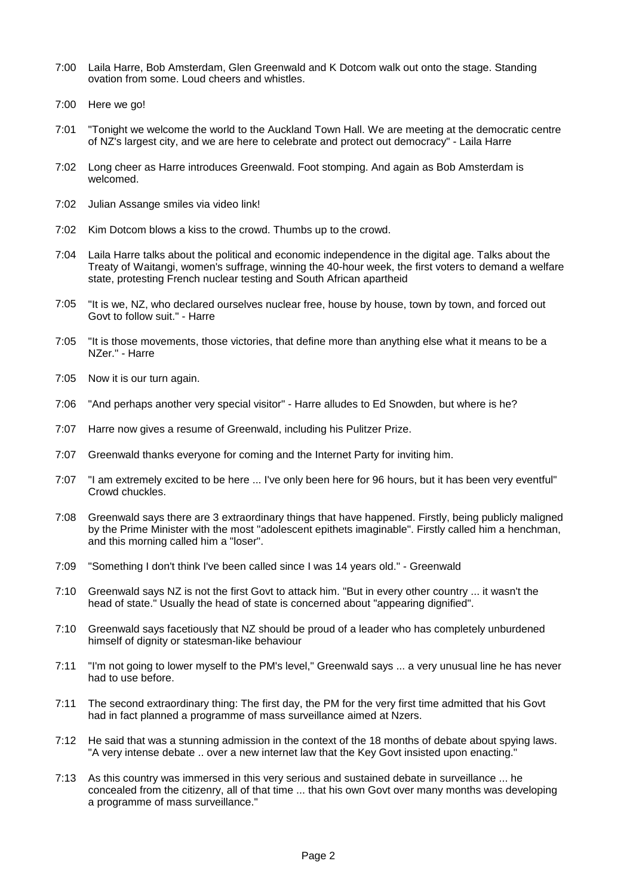- 7:00 Laila Harre, Bob Amsterdam, Glen Greenwald and K Dotcom walk out onto the stage. Standing ovation from some. Loud cheers and whistles.
- 7:00 Here we go!
- 7:01 "Tonight we welcome the world to the Auckland Town Hall. We are meeting at the democratic centre of NZ's largest city, and we are here to celebrate and protect out democracy" - Laila Harre
- 7:02 Long cheer as Harre introduces Greenwald. Foot stomping. And again as Bob Amsterdam is welcomed.
- 7:02 Julian Assange smiles via video link!
- 7:02 Kim Dotcom blows a kiss to the crowd. Thumbs up to the crowd.
- 7:04 Laila Harre talks about the political and economic independence in the digital age. Talks about the Treaty of Waitangi, women's suffrage, winning the 40-hour week, the first voters to demand a welfare state, protesting French nuclear testing and South African apartheid
- 7:05 "It is we, NZ, who declared ourselves nuclear free, house by house, town by town, and forced out Govt to follow suit." - Harre
- 7:05 "It is those movements, those victories, that define more than anything else what it means to be a NZer." - Harre
- 7:05 Now it is our turn again.
- 7:06 "And perhaps another very special visitor" - Harre alludes to Ed Snowden, but where is he?
- 7:07 Harre now gives a resume of Greenwald, including his Pulitzer Prize.
- 7:07 Greenwald thanks everyone for coming and the Internet Party for inviting him.
- 7:07 "I am extremely excited to be here ... I've only been here for 96 hours, but it has been very eventful" Crowd chuckles.
- 7:08 Greenwald says there are 3 extraordinary things that have happened. Firstly, being publicly maligned by the Prime Minister with the most "adolescent epithets imaginable". Firstly called him a henchman, and this morning called him a "loser".
- 7:09 "Something I don't think I've been called since I was 14 years old." Greenwald
- 7:10 Greenwald says NZ is not the first Govt to attack him. "But in every other country ... it wasn't the head of state." Usually the head of state is concerned about "appearing dignified".
- 7:10 Greenwald says facetiously that NZ should be proud of a leader who has completely unburdened himself of dignity or statesman-like behaviour
- 7:11 "I'm not going to lower myself to the PM's level," Greenwald says ... a very unusual line he has never had to use before.
- 7:11 The second extraordinary thing: The first day, the PM for the very first time admitted that his Govt had in fact planned a programme of mass surveillance aimed at Nzers.
- 7:12 He said that was a stunning admission in the context of the 18 months of debate about spying laws. "A very intense debate .. over a new internet law that the Key Govt insisted upon enacting."
- 7:13 As this country was immersed in this very serious and sustained debate in surveillance ... he concealed from the citizenry, all of that time ... that his own Govt over many months was developing a programme of mass surveillance."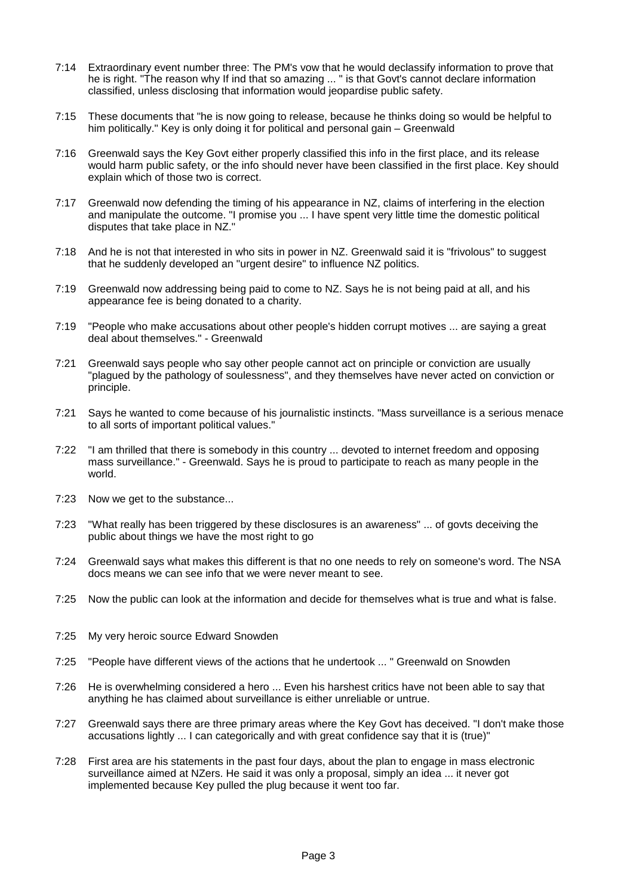- 7:14 Extraordinary event number three: The PM's vow that he would declassify information to prove that he is right. "The reason why If ind that so amazing ... " is that Govt's cannot declare information classified, unless disclosing that information would jeopardise public safety.
- 7:15 These documents that "he is now going to release, because he thinks doing so would be helpful to him politically." Key is only doing it for political and personal gain – Greenwald
- 7:16 Greenwald says the Key Govt either properly classified this info in the first place, and its release would harm public safety, or the info should never have been classified in the first place. Key should explain which of those two is correct.
- 7:17 Greenwald now defending the timing of his appearance in NZ, claims of interfering in the election and manipulate the outcome. "I promise you ... I have spent very little time the domestic political disputes that take place in NZ."
- 7:18 And he is not that interested in who sits in power in NZ. Greenwald said it is "frivolous" to suggest that he suddenly developed an "urgent desire" to influence NZ politics.
- 7:19 Greenwald now addressing being paid to come to NZ. Says he is not being paid at all, and his appearance fee is being donated to a charity.
- 7:19 "People who make accusations about other people's hidden corrupt motives ... are saying a great deal about themselves." - Greenwald
- 7:21 Greenwald says people who say other people cannot act on principle or conviction are usually "plagued by the pathology of soulessness", and they themselves have never acted on conviction or principle.
- 7:21 Says he wanted to come because of his journalistic instincts. "Mass surveillance is a serious menace to all sorts of important political values."
- 7:22 "I am thrilled that there is somebody in this country ... devoted to internet freedom and opposing mass surveillance." - Greenwald. Says he is proud to participate to reach as many people in the world.
- 7:23 Now we get to the substance...
- 7:23 "What really has been triggered by these disclosures is an awareness" ... of govts deceiving the public about things we have the most right to go
- 7:24 Greenwald says what makes this different is that no one needs to rely on someone's word. The NSA docs means we can see info that we were never meant to see.
- 7:25 Now the public can look at the information and decide for themselves what is true and what is false.
- 7:25 My very heroic source Edward Snowden
- 7:25 "People have different views of the actions that he undertook ... " Greenwald on Snowden
- 7:26 He is overwhelming considered a hero ... Even his harshest critics have not been able to say that anything he has claimed about surveillance is either unreliable or untrue.
- 7:27 Greenwald says there are three primary areas where the Key Govt has deceived. "I don't make those accusations lightly ... I can categorically and with great confidence say that it is (true)"
- 7:28 First area are his statements in the past four days, about the plan to engage in mass electronic surveillance aimed at NZers. He said it was only a proposal, simply an idea ... it never got implemented because Key pulled the plug because it went too far.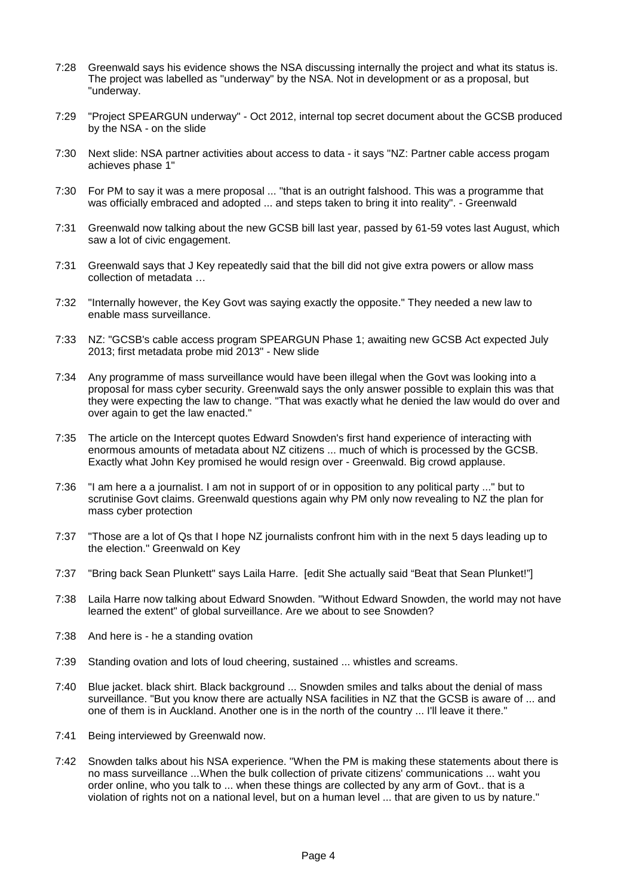- 7:28 Greenwald says his evidence shows the NSA discussing internally the project and what its status is. The project was labelled as "underway" by the NSA. Not in development or as a proposal, but "underway.
- 7:29 "Project SPEARGUN underway" - Oct 2012, internal top secret document about the GCSB produced by the NSA - on the slide
- 7:30 Next slide: NSA partner activities about access to data - it says "NZ: Partner cable access progam achieves phase 1"
- 7:30 For PM to say it was a mere proposal ... "that is an outright falshood. This was a programme that was officially embraced and adopted ... and steps taken to bring it into reality". - Greenwald
- 7:31 Greenwald now talking about the new GCSB bill last year, passed by 61-59 votes last August, which saw a lot of civic engagement.
- 7:31 Greenwald says that J Key repeatedly said that the bill did not give extra powers or allow mass collection of metadata …
- 7:32 "Internally however, the Key Govt was saying exactly the opposite." They needed a new law to enable mass surveillance.
- 7:33 NZ: "GCSB's cable access program SPEARGUN Phase 1; awaiting new GCSB Act expected July 2013; first metadata probe mid 2013" - New slide
- 7:34 Any programme of mass surveillance would have been illegal when the Govt was looking into a proposal for mass cyber security. Greenwald says the only answer possible to explain this was that they were expecting the law to change. "That was exactly what he denied the law would do over and over again to get the law enacted."
- 7:35 The article on the Intercept quotes Edward Snowden's first hand experience of interacting with enormous amounts of metadata about NZ citizens ... much of which is processed by the GCSB. Exactly what John Key promised he would resign over - Greenwald. Big crowd applause.
- 7:36 "I am here a a journalist. I am not in support of or in opposition to any political party ..." but to scrutinise Govt claims. Greenwald questions again why PM only now revealing to NZ the plan for mass cyber protection
- 7:37 "Those are a lot of Qs that I hope NZ journalists confront him with in the next 5 days leading up to the election." Greenwald on Key
- 7:37 "Bring back Sean Plunkett" says Laila Harre. [edit She actually said "Beat that Sean Plunket!"]
- 7:38 Laila Harre now talking about Edward Snowden. "Without Edward Snowden, the world may not have learned the extent" of global surveillance. Are we about to see Snowden?
- 7:38 And here is he a standing ovation
- 7:39 Standing ovation and lots of loud cheering, sustained ... whistles and screams.
- 7:40 Blue jacket. black shirt. Black background ... Snowden smiles and talks about the denial of mass surveillance. "But you know there are actually NSA facilities in NZ that the GCSB is aware of ... and one of them is in Auckland. Another one is in the north of the country ... I'll leave it there."
- 7:41 Being interviewed by Greenwald now.
- 7:42 Snowden talks about his NSA experience. "When the PM is making these statements about there is no mass surveillance ...When the bulk collection of private citizens' communications ... waht you order online, who you talk to ... when these things are collected by any arm of Govt.. that is a violation of rights not on a national level, but on a human level ... that are given to us by nature."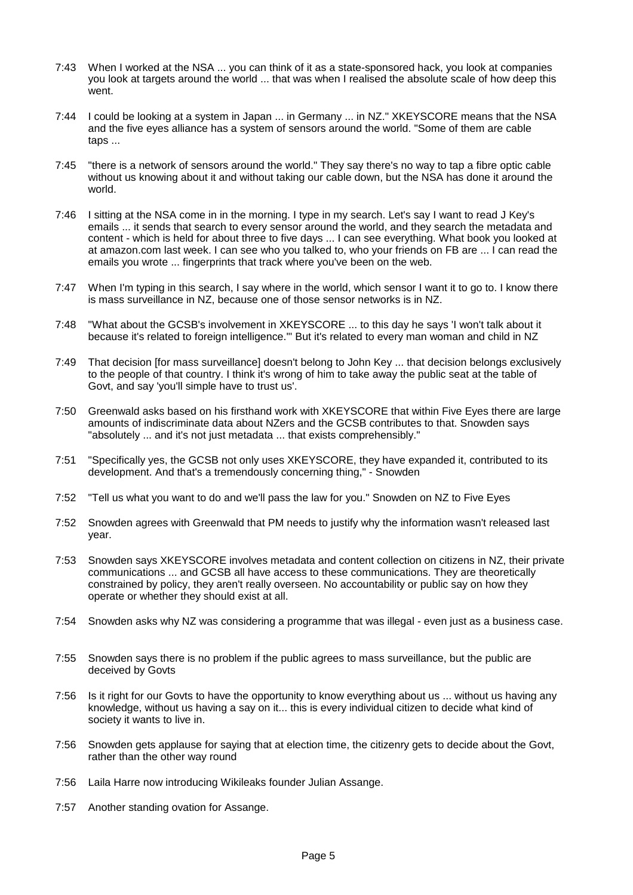- 7:43 When I worked at the NSA ... you can think of it as a state-sponsored hack, you look at companies you look at targets around the world ... that was when I realised the absolute scale of how deep this went
- 7:44 I could be looking at a system in Japan ... in Germany ... in NZ." XKEYSCORE means that the NSA and the five eyes alliance has a system of sensors around the world. "Some of them are cable taps ...
- 7:45 "there is a network of sensors around the world." They say there's no way to tap a fibre optic cable without us knowing about it and without taking our cable down, but the NSA has done it around the world.
- 7:46 I sitting at the NSA come in in the morning. I type in my search. Let's say I want to read J Key's emails ... it sends that search to every sensor around the world, and they search the metadata and content - which is held for about three to five days ... I can see everything. What book you looked at at amazon.com last week. I can see who you talked to, who your friends on FB are ... I can read the emails you wrote ... fingerprints that track where you've been on the web.
- 7:47 When I'm typing in this search, I say where in the world, which sensor I want it to go to. I know there is mass surveillance in NZ, because one of those sensor networks is in NZ.
- 7:48 "What about the GCSB's involvement in XKEYSCORE ... to this day he says 'I won't talk about it because it's related to foreign intelligence.'" But it's related to every man woman and child in NZ
- 7:49 That decision [for mass surveillance] doesn't belong to John Key ... that decision belongs exclusively to the people of that country. I think it's wrong of him to take away the public seat at the table of Govt, and say 'you'll simple have to trust us'.
- 7:50 Greenwald asks based on his firsthand work with XKEYSCORE that within Five Eyes there are large amounts of indiscriminate data about NZers and the GCSB contributes to that. Snowden says "absolutely ... and it's not just metadata ... that exists comprehensibly."
- 7:51 "Specifically yes, the GCSB not only uses XKEYSCORE, they have expanded it, contributed to its development. And that's a tremendously concerning thing," - Snowden
- 7:52 "Tell us what you want to do and we'll pass the law for you." Snowden on NZ to Five Eyes
- 7:52 Snowden agrees with Greenwald that PM needs to justify why the information wasn't released last year.
- 7:53 Snowden says XKEYSCORE involves metadata and content collection on citizens in NZ, their private communications ... and GCSB all have access to these communications. They are theoretically constrained by policy, they aren't really overseen. No accountability or public say on how they operate or whether they should exist at all.
- 7:54 Snowden asks why NZ was considering a programme that was illegal even just as a business case.
- 7:55 Snowden says there is no problem if the public agrees to mass surveillance, but the public are deceived by Govts
- 7:56 Is it right for our Govts to have the opportunity to know everything about us ... without us having any knowledge, without us having a say on it... this is every individual citizen to decide what kind of society it wants to live in.
- 7:56 Snowden gets applause for saying that at election time, the citizenry gets to decide about the Govt, rather than the other way round
- 7:56 Laila Harre now introducing Wikileaks founder Julian Assange.
- 7:57 Another standing ovation for Assange.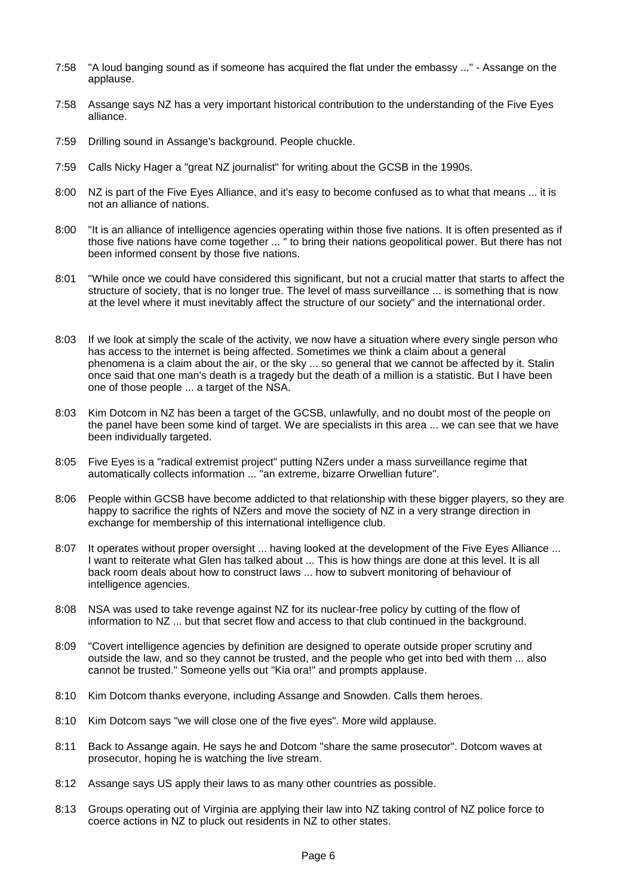- 7:58 "A loud banging sound as if someone has acquired the flat under the embassy ..." Assange on the applause.
- 7:58 Assange says NZ has a very important historical contribution to the understanding of the Five Eyes alliance.
- 7:59 Drilling sound in Assange's background. People chuckle.
- 7:59 Calls Nicky Hager a "great NZ journalist" for writing about the GCSB in the 1990s.
- 8:00 NZ is part of the Five Eyes Alliance, and it's easy to become confused as to what that means ... it is not an alliance of nations.
- 8:00 "It is an alliance of intelligence agencies operating within those five nations. It is often presented as if those five nations have come together ... " to bring their nations geopolitical power. But there has not been informed consent by those five nations.
- 8:01 "While once we could have considered this significant, but not a crucial matter that starts to affect the structure of society, that is no longer true. The level of mass surveillance ... is something that is now at the level where it must inevitably affect the structure of our society" and the international order.
- 8:03 If we look at simply the scale of the activity, we now have a situation where every single person who has access to the internet is being affected. Sometimes we think a claim about a general phenomena is a claim about the air, or the sky ... so general that we cannot be affected by it. Stalin once said that one man's death is a tragedy but the death of a million is a statistic. But I have been one of those people ... a target of the NSA.
- 8:03 Kim Dotcom in NZ has been a target of the GCSB, unlawfully, and no doubt most of the people on the panel have been some kind of target. We are specialists in this area ... we can see that we have been individually targeted.
- 8:05 Five Eyes is a "radical extremist project" putting NZers under a mass surveillance regime that automatically collects information ... "an extreme, bizarre Orwellian future".
- 8:06 People within GCSB have become addicted to that relationship with these bigger players, so they are happy to sacrifice the rights of NZers and move the society of NZ in a very strange direction in exchange for membership of this international intelligence club.
- 8:07 It operates without proper oversight ... having looked at the development of the Five Eyes Alliance ... I want to reiterate what Glen has talked about ... This is how things are done at this level. It is all back room deals about how to construct laws ... how to subvert monitoring of behaviour of intelligence agencies.
- 8:08 NSA was used to take revenge against NZ for its nuclear-free policy by cutting of the flow of information to NZ ... but that secret flow and access to that club continued in the background.
- 8:09 "Covert intelligence agencies by definition are designed to operate outside proper scrutiny and outside the law, and so they cannot be trusted, and the people who get into bed with them ... also cannot be trusted." Someone yells out "Kia ora!" and prompts applause.
- 8:10 Kim Dotcom thanks everyone, including Assange and Snowden. Calls them heroes.
- 8:10 Kim Dotcom says "we will close one of the five eyes". More wild applause.
- 8:11 Back to Assange again. He says he and Dotcom "share the same prosecutor". Dotcom waves at prosecutor, hoping he is watching the live stream.
- 8:12 Assange says US apply their laws to as many other countries as possible.
- 8:13 Groups operating out of Virginia are applying their law into NZ taking control of NZ police force to coerce actions in NZ to pluck out residents in NZ to other states.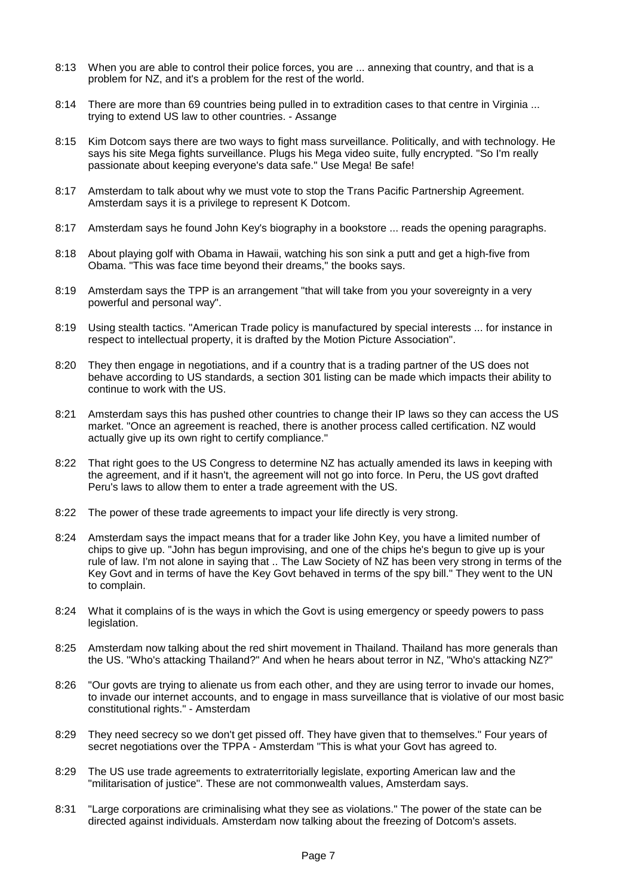- 8:13 When you are able to control their police forces, you are ... annexing that country, and that is a problem for NZ, and it's a problem for the rest of the world.
- 8:14 There are more than 69 countries being pulled in to extradition cases to that centre in Virginia ... trying to extend US law to other countries. - Assange
- 8:15 Kim Dotcom says there are two ways to fight mass surveillance. Politically, and with technology. He says his site Mega fights surveillance. Plugs his Mega video suite, fully encrypted. "So I'm really passionate about keeping everyone's data safe." Use Mega! Be safe!
- 8:17 Amsterdam to talk about why we must vote to stop the Trans Pacific Partnership Agreement. Amsterdam says it is a privilege to represent K Dotcom.
- 8:17 Amsterdam says he found John Key's biography in a bookstore ... reads the opening paragraphs.
- 8:18 About playing golf with Obama in Hawaii, watching his son sink a putt and get a high-five from Obama. "This was face time beyond their dreams," the books says.
- 8:19 Amsterdam says the TPP is an arrangement "that will take from you your sovereignty in a very powerful and personal way".
- 8:19 Using stealth tactics. "American Trade policy is manufactured by special interests ... for instance in respect to intellectual property, it is drafted by the Motion Picture Association".
- 8:20 They then engage in negotiations, and if a country that is a trading partner of the US does not behave according to US standards, a section 301 listing can be made which impacts their ability to continue to work with the US.
- 8:21 Amsterdam says this has pushed other countries to change their IP laws so they can access the US market. "Once an agreement is reached, there is another process called certification. NZ would actually give up its own right to certify compliance."
- 8:22 That right goes to the US Congress to determine NZ has actually amended its laws in keeping with the agreement, and if it hasn't, the agreement will not go into force. In Peru, the US govt drafted Peru's laws to allow them to enter a trade agreement with the US.
- 8:22 The power of these trade agreements to impact your life directly is very strong.
- 8:24 Amsterdam says the impact means that for a trader like John Key, you have a limited number of chips to give up. "John has begun improvising, and one of the chips he's begun to give up is your rule of law. I'm not alone in saying that .. The Law Society of NZ has been very strong in terms of the Key Govt and in terms of have the Key Govt behaved in terms of the spy bill." They went to the UN to complain.
- 8:24 What it complains of is the ways in which the Govt is using emergency or speedy powers to pass legislation.
- 8:25 Amsterdam now talking about the red shirt movement in Thailand. Thailand has more generals than the US. "Who's attacking Thailand?" And when he hears about terror in NZ, "Who's attacking NZ?"
- 8:26 "Our govts are trying to alienate us from each other, and they are using terror to invade our homes, to invade our internet accounts, and to engage in mass surveillance that is violative of our most basic constitutional rights." - Amsterdam
- 8:29 They need secrecy so we don't get pissed off. They have given that to themselves." Four years of secret negotiations over the TPPA - Amsterdam "This is what your Govt has agreed to.
- 8:29 The US use trade agreements to extraterritorially legislate, exporting American law and the "militarisation of justice". These are not commonwealth values, Amsterdam says.
- 8:31 "Large corporations are criminalising what they see as violations." The power of the state can be directed against individuals. Amsterdam now talking about the freezing of Dotcom's assets.